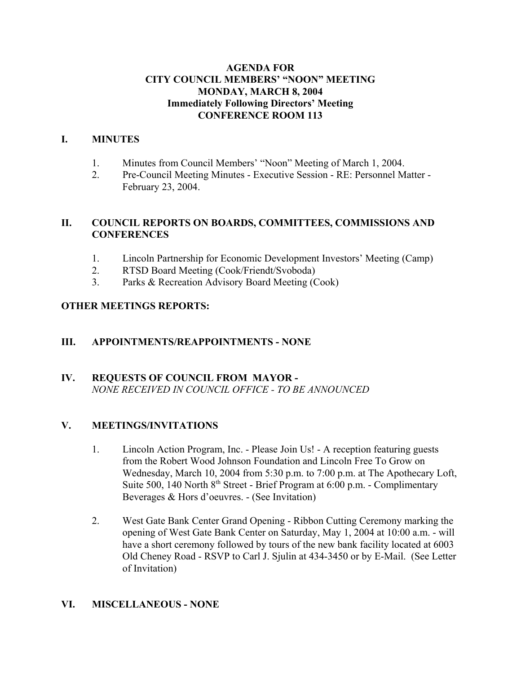### **AGENDA FOR CITY COUNCIL MEMBERS' "NOON" MEETING MONDAY, MARCH 8, 2004 Immediately Following Directors' Meeting CONFERENCE ROOM 113**

### **I. MINUTES**

- 1. Minutes from Council Members' "Noon" Meeting of March 1, 2004.
- 2. Pre-Council Meeting Minutes Executive Session RE: Personnel Matter February 23, 2004.

### **II. COUNCIL REPORTS ON BOARDS, COMMITTEES, COMMISSIONS AND CONFERENCES**

- 1. Lincoln Partnership for Economic Development Investors' Meeting (Camp)
- 2. RTSD Board Meeting (Cook/Friendt/Svoboda)
- 3. Parks & Recreation Advisory Board Meeting (Cook)

### **OTHER MEETINGS REPORTS:**

#### **III. APPOINTMENTS/REAPPOINTMENTS - NONE**

## **IV. REQUESTS OF COUNCIL FROM MAYOR -**  *NONE RECEIVED IN COUNCIL OFFICE - TO BE ANNOUNCED*

### **V. MEETINGS/INVITATIONS**

- 1. Lincoln Action Program, Inc. Please Join Us! A reception featuring guests from the Robert Wood Johnson Foundation and Lincoln Free To Grow on Wednesday, March 10, 2004 from 5:30 p.m. to 7:00 p.m. at The Apothecary Loft, Suite 500, 140 North  $8<sup>th</sup>$  Street - Brief Program at 6:00 p.m. - Complimentary Beverages & Hors d'oeuvres. - (See Invitation)
- 2. West Gate Bank Center Grand Opening Ribbon Cutting Ceremony marking the opening of West Gate Bank Center on Saturday, May 1, 2004 at 10:00 a.m. - will have a short ceremony followed by tours of the new bank facility located at 6003 Old Cheney Road - RSVP to Carl J. Sjulin at 434-3450 or by E-Mail. (See Letter of Invitation)

### **VI. MISCELLANEOUS - NONE**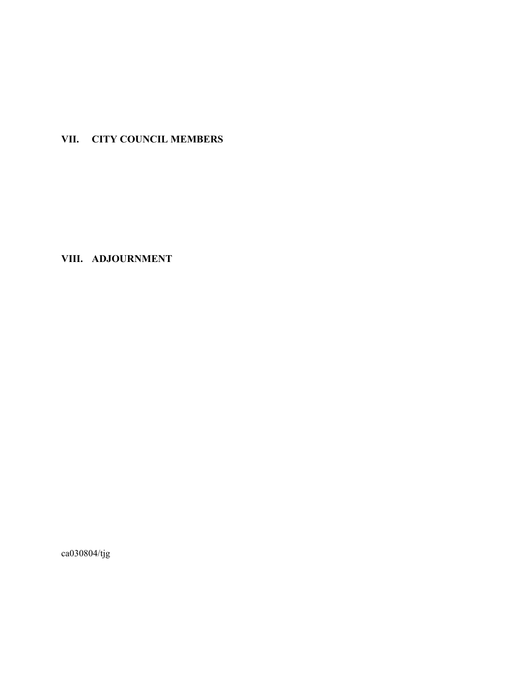# **VII. CITY COUNCIL MEMBERS**

**VIII. ADJOURNMENT**

ca030804/tjg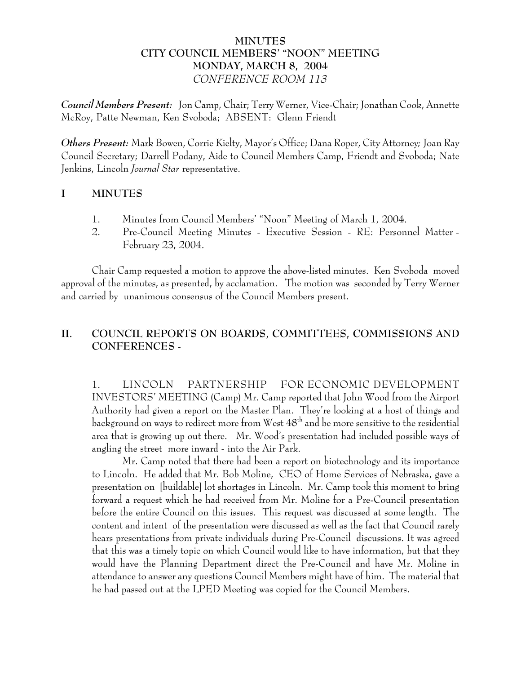## **MINUTES CITY COUNCIL MEMBERS' "NOON" MEETING MONDAY, MARCH 8, 2004** *CONFERENCE ROOM 113*

*Council Members Present:* Jon Camp, Chair; Terry Werner, Vice-Chair; Jonathan Cook, Annette McRoy, Patte Newman, Ken Svoboda; ABSENT: Glenn Friendt

*Others Present:* Mark Bowen, Corrie Kielty, Mayor's Office; Dana Roper, City Attorney*;* Joan Ray Council Secretary; Darrell Podany, Aide to Council Members Camp, Friendt and Svoboda; Nate Jenkins, Lincoln *Journal Star* representative.

## **I MINUTES**

- 1. Minutes from Council Members' "Noon" Meeting of March 1, 2004.
- 2. Pre-Council Meeting Minutes Executive Session RE: Personnel Matter February 23, 2004.

Chair Camp requested a motion to approve the above-listed minutes. Ken Svoboda moved approval of the minutes, as presented, by acclamation. The motion was seconded by Terry Werner and carried by unanimous consensus of the Council Members present.

## **II. COUNCIL REPORTS ON BOARDS, COMMITTEES, COMMISSIONS AND CONFERENCES -**

1. LINCOLN PARTNERSHIP FOR ECONOMIC DEVELOPMENT INVESTORS' MEETING (Camp) Mr. Camp reported that John Wood from the Airport Authority had given a report on the Master Plan. They're looking at a host of things and background on ways to redirect more from West 48th and be more sensitive to the residential area that is growing up out there. Mr. Wood's presentation had included possible ways of angling the street more inward - into the Air Park.

Mr. Camp noted that there had been a report on biotechnology and its importance to Lincoln. He added that Mr. Bob Moline, CEO of Home Services of Nebraska, gave a presentation on [buildable] lot shortages in Lincoln. Mr. Camp took this moment to bring forward a request which he had received from Mr. Moline for a Pre-Council presentation before the entire Council on this issues. This request was discussed at some length. The content and intent of the presentation were discussed as well as the fact that Council rarely hears presentations from private individuals during Pre-Council discussions. It was agreed that this was a timely topic on which Council would like to have information, but that they would have the Planning Department direct the Pre-Council and have Mr. Moline in attendance to answer any questions Council Members might have of him. The material that he had passed out at the LPED Meeting was copied for the Council Members.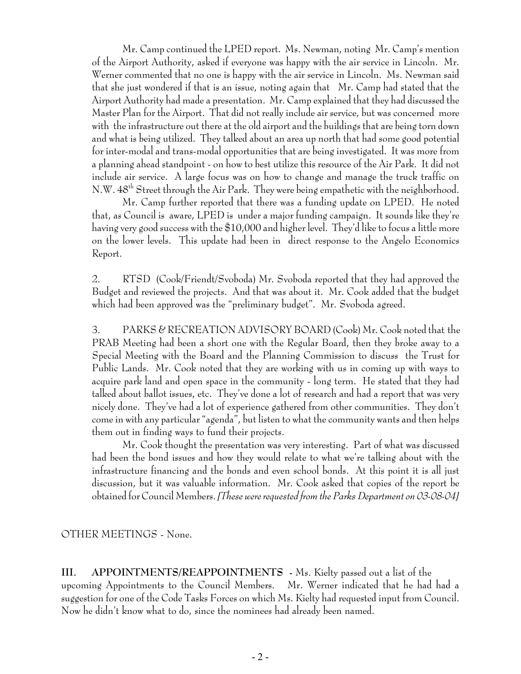Mr. Camp continued the LPED report. Ms. Newman, noting Mr. Camp's mention of the Airport Authority, asked if everyone was happy with the air service in Lincoln. Mr. Werner commented that no one is happy with the air service in Lincoln. Ms. Newman said that she just wondered if that is an issue, noting again that Mr. Camp had stated that the Airport Authority had made a presentation. Mr. Camp explained that they had discussed the Master Plan for the Airport. That did not really include air service, but was concerned more with the infrastructure out there at the old airport and the buildings that are being torn down and what is being utilized. They talked about an area up north that had some good potential for inter-modal and trans-modal opportunities that are being investigated. It was more from a planning ahead standpoint - on how to best utilize this resource of the Air Park. It did not include air service. A large focus was on how to change and manage the truck traffic on N.W. 48<sup>th</sup> Street through the Air Park. They were being empathetic with the neighborhood.

Mr. Camp further reported that there was a funding update on LPED. He noted that, as Council is aware, LPED is under a major funding campaign. It sounds like they're having very good success with the \$10,000 and higher level. They'd like to focus a little more on the lower levels. This update had been in direct response to the Angelo Economics Report.

2. RTSD (Cook/Friendt/Svoboda) Mr. Svoboda reported that they had approved the Budget and reviewed the projects. And that was about it. Mr. Cook added that the budget which had been approved was the "preliminary budget". Mr. Svoboda agreed.

3. PARKS & RECREATION ADVISORY BOARD (Cook) Mr. Cook noted that the PRAB Meeting had been a short one with the Regular Board, then they broke away to a Special Meeting with the Board and the Planning Commission to discuss the Trust for Public Lands. Mr. Cook noted that they are working with us in coming up with ways to acquire park land and open space in the community - long term. He stated that they had talked about ballot issues, etc. They've done a lot of research and had a report that was very nicely done. They've had a lot of experience gathered from other communities. They don't come in with any particular "agenda", but listen to what the community wants and then helps them out in finding ways to fund their projects.

Mr. Cook thought the presentation was very interesting. Part of what was discussed had been the bond issues and how they would relate to what we're talking about with the infrastructure financing and the bonds and even school bonds. At this point it is all just discussion, but it was valuable information. Mr. Cook asked that copies of the report be obtained for Council Members. *[These were requested from the Parks Department on 03-08-04]*

OTHER MEETINGS - None.

**III. APPOINTMENTS/REAPPOINTMENTS -** Ms. Kielty passed out a list of the upcoming Appointments to the Council Members. Mr. Werner indicated that he had had a suggestion for one of the Code Tasks Forces on which Ms. Kielty had requested input from Council. Now he didn't know what to do, since the nominees had already been named.